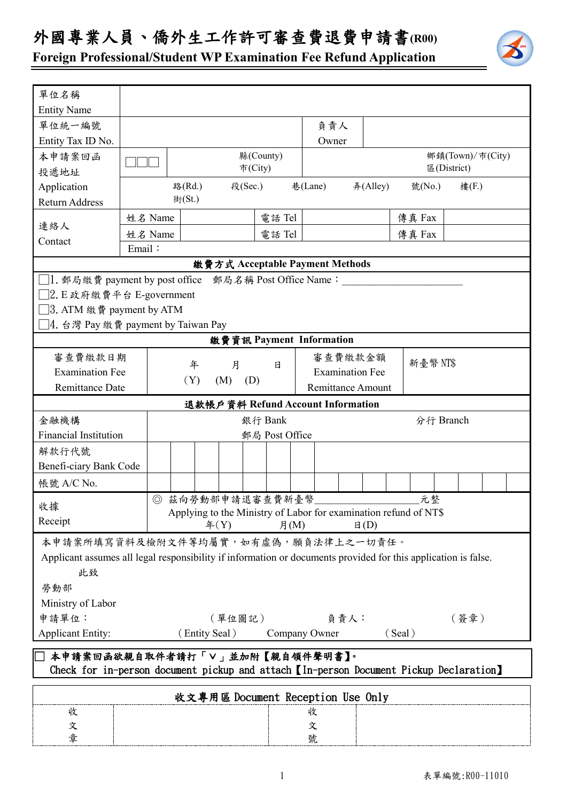## 外國專業人員、僑外生工作許可審查費退費申請書**(R00)**



## **Foreign Professional/Student WP Examination Fee Refund Application**

| 單位名稱                                                                                                                     |                                                           |                                                                  |                         |                          |  |        |         |                                   |  |                                         |  |                                 |  |       |  |  |
|--------------------------------------------------------------------------------------------------------------------------|-----------------------------------------------------------|------------------------------------------------------------------|-------------------------|--------------------------|--|--------|---------|-----------------------------------|--|-----------------------------------------|--|---------------------------------|--|-------|--|--|
| <b>Entity Name</b>                                                                                                       |                                                           |                                                                  |                         |                          |  |        |         |                                   |  |                                         |  |                                 |  |       |  |  |
| 單位統一編號                                                                                                                   |                                                           |                                                                  |                         |                          |  |        |         | 負責人                               |  |                                         |  |                                 |  |       |  |  |
| Entity Tax ID No.                                                                                                        |                                                           |                                                                  |                         |                          |  |        |         | Owner                             |  |                                         |  |                                 |  |       |  |  |
| 本申請案回函<br>投遞地址                                                                                                           |                                                           |                                                                  |                         | 縣(County)<br>市(City)     |  |        |         |                                   |  |                                         |  | 鄉鎮(Town)/市(City)<br>區(District) |  |       |  |  |
| Application                                                                                                              |                                                           | 路(Rd.)<br>段(Sec.)                                                |                         |                          |  |        | 巷(Lane) |                                   |  | #(Alley)                                |  | 號(No.)                          |  | 樓(F.) |  |  |
| <b>Return Address</b>                                                                                                    |                                                           |                                                                  | 街(St.)                  |                          |  |        |         |                                   |  |                                         |  |                                 |  |       |  |  |
|                                                                                                                          | 姓名 Name                                                   |                                                                  |                         |                          |  | 電話 Tel |         |                                   |  |                                         |  | 傳真 Fax                          |  |       |  |  |
| 連絡人                                                                                                                      | 姓名 Name                                                   |                                                                  |                         |                          |  | 電話 Tel |         |                                   |  |                                         |  | 傳真 Fax                          |  |       |  |  |
| Contact                                                                                                                  | Email:                                                    |                                                                  |                         |                          |  |        |         |                                   |  |                                         |  |                                 |  |       |  |  |
| 繳費方式 Acceptable Payment Methods                                                                                          |                                                           |                                                                  |                         |                          |  |        |         |                                   |  |                                         |  |                                 |  |       |  |  |
| ◯1. 郵局繳費 payment by post office 郵局名稱 Post Office Name:                                                                   |                                                           |                                                                  |                         |                          |  |        |         |                                   |  |                                         |  |                                 |  |       |  |  |
| □2. E 政府繳費平台 E-government                                                                                                |                                                           |                                                                  |                         |                          |  |        |         |                                   |  |                                         |  |                                 |  |       |  |  |
| □3. ATM 繳費 payment by ATM                                                                                                |                                                           |                                                                  |                         |                          |  |        |         |                                   |  |                                         |  |                                 |  |       |  |  |
| □4. 台灣 Pay 繳費 payment by Taiwan Pay                                                                                      |                                                           |                                                                  |                         |                          |  |        |         |                                   |  |                                         |  |                                 |  |       |  |  |
|                                                                                                                          |                                                           |                                                                  |                         | 繳費資訊 Payment Information |  |        |         |                                   |  |                                         |  |                                 |  |       |  |  |
| 審查費繳款日期                                                                                                                  |                                                           |                                                                  |                         |                          |  | 日      |         | 審查費繳款金額<br><b>Examination Fee</b> |  |                                         |  |                                 |  |       |  |  |
| <b>Examination Fee</b>                                                                                                   |                                                           |                                                                  | 年                       | 月                        |  |        |         |                                   |  |                                         |  | 新臺幣 NT\$                        |  |       |  |  |
| <b>Remittance Date</b>                                                                                                   | (Y)                                                       |                                                                  |                         | (M)<br>(D)               |  |        |         | <b>Remittance Amount</b>          |  |                                         |  |                                 |  |       |  |  |
|                                                                                                                          |                                                           |                                                                  |                         |                          |  |        |         |                                   |  |                                         |  |                                 |  |       |  |  |
| 金融機構                                                                                                                     | 退款帳戶資料 Refund Account Information<br>分行 Branch<br>銀行 Bank |                                                                  |                         |                          |  |        |         |                                   |  |                                         |  |                                 |  |       |  |  |
| <b>Financial Institution</b>                                                                                             |                                                           | 郵局 Post Office                                                   |                         |                          |  |        |         |                                   |  |                                         |  |                                 |  |       |  |  |
| 解款行代號                                                                                                                    |                                                           |                                                                  |                         |                          |  |        |         |                                   |  |                                         |  |                                 |  |       |  |  |
| Benefi-ciary Bank Code                                                                                                   |                                                           |                                                                  |                         |                          |  |        |         |                                   |  |                                         |  |                                 |  |       |  |  |
| 帳號 A/C No.                                                                                                               |                                                           |                                                                  |                         |                          |  |        |         |                                   |  |                                         |  |                                 |  |       |  |  |
| 收據                                                                                                                       |                                                           |                                                                  | ◎ 兹向勞動部申請退審查費新臺幣        |                          |  |        |         |                                   |  |                                         |  | 元整                              |  |       |  |  |
| Receipt                                                                                                                  |                                                           | Applying to the Ministry of Labor for examination refund of NT\$ |                         |                          |  |        |         |                                   |  |                                         |  |                                 |  |       |  |  |
|                                                                                                                          | $\text{F}(Y)$<br>月 $(M)$                                  |                                                                  |                         |                          |  |        |         |                                   |  |                                         |  |                                 |  |       |  |  |
| 本申請案所填寫資料及檢附文件等均屬實,如有虛偽,願負法律上之一切責任。                                                                                      |                                                           |                                                                  |                         |                          |  |        |         |                                   |  |                                         |  |                                 |  |       |  |  |
| Applicant assumes all legal responsibility if information or documents provided for this application is false.           |                                                           |                                                                  |                         |                          |  |        |         |                                   |  |                                         |  |                                 |  |       |  |  |
| 此致                                                                                                                       |                                                           |                                                                  |                         |                          |  |        |         |                                   |  |                                         |  |                                 |  |       |  |  |
| 勞動部                                                                                                                      |                                                           |                                                                  |                         |                          |  |        |         |                                   |  |                                         |  |                                 |  |       |  |  |
| Ministry of Labor                                                                                                        |                                                           |                                                                  |                         |                          |  |        |         |                                   |  |                                         |  |                                 |  |       |  |  |
| 申請單位:                                                                                                                    |                                                           |                                                                  | (單位圖記)<br>(Entity Seal) |                          |  |        |         |                                   |  | 負責人:<br>(簽章)<br>(Seal)<br>Company Owner |  |                                 |  |       |  |  |
| <b>Applicant Entity:</b>                                                                                                 |                                                           |                                                                  |                         |                          |  |        |         |                                   |  |                                         |  |                                 |  |       |  |  |
| 本申請案回函欲親自取件者請打「V」並加附【親自領件聲明書】。<br>Check for in-person document pickup and attach [In-person Document Pickup Declaration] |                                                           |                                                                  |                         |                          |  |        |         |                                   |  |                                         |  |                                 |  |       |  |  |
| 收文專用區 Document Reception Use Only                                                                                        |                                                           |                                                                  |                         |                          |  |        |         |                                   |  |                                         |  |                                 |  |       |  |  |
| 收                                                                                                                        |                                                           |                                                                  |                         |                          |  |        |         | 收                                 |  |                                         |  |                                 |  |       |  |  |
| 文                                                                                                                        |                                                           |                                                                  |                         |                          |  |        |         | 文                                 |  |                                         |  |                                 |  |       |  |  |
| 章                                                                                                                        |                                                           |                                                                  |                         |                          |  |        |         | 號                                 |  |                                         |  |                                 |  |       |  |  |